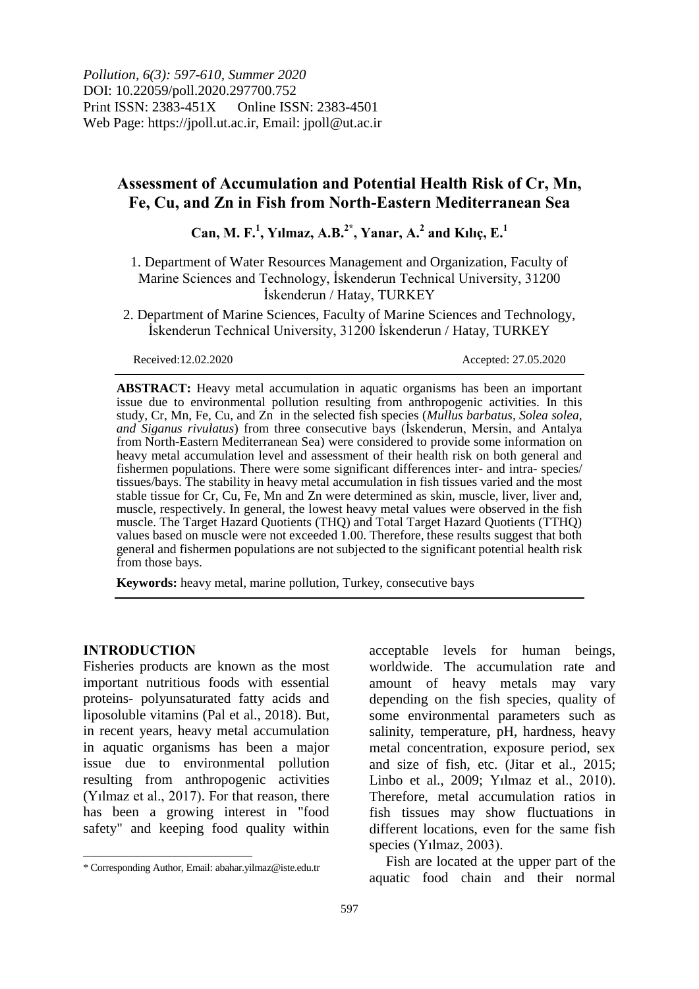*Pollution, 6(3): 597-610, Summer 2020* DOI: 10.22059/poll.2020.297700.752 Print ISSN: 2383-451X Online ISSN: 2383-4501 Web Page: https://jpoll.ut.ac.ir, Email: jpoll@ut.ac.ir

## **Assessment of Accumulation and Potential Health Risk of Cr, Mn, Fe, Cu, and Zn in Fish from North-Eastern Mediterranean Sea**

# $\text{Can, M. F.}^1$ , Yılmaz, A.B.<sup>2\*</sup>, Yanar, A.<sup>2</sup> and Kılıç, E.<sup>1</sup>

- 1. Department of Water Resources Management and Organization, Faculty of Marine Sciences and Technology, İskenderun Technical University, 31200 İskenderun / Hatay, TURKEY
- 2. Department of Marine Sciences, Faculty of Marine Sciences and Technology, İskenderun Technical University, 31200 İskenderun / Hatay, TURKEY

Received:12.02.2020 Accepted: 27.05.2020

**ABSTRACT:** Heavy metal accumulation in aquatic organisms has been an important issue due to environmental pollution resulting from anthropogenic activities. In this study, Cr, Mn, Fe, Cu, and Zn in the selected fish species (*Mullus barbatus, Solea solea, and Siganus rivulatus*) from three consecutive bays (İskenderun, Mersin, and Antalya from North-Eastern Mediterranean Sea) were considered to provide some information on heavy metal accumulation level and assessment of their health risk on both general and fishermen populations. There were some significant differences inter- and intra- species/ tissues/bays. The stability in heavy metal accumulation in fish tissues varied and the most stable tissue for Cr, Cu, Fe, Mn and Zn were determined as skin, muscle, liver, liver and, muscle, respectively. In general, the lowest heavy metal values were observed in the fish muscle. The Target Hazard Quotients (THQ) and Total Target Hazard Quotients (TTHQ) values based on muscle were not exceeded 1.00. Therefore, these results suggest that both general and fishermen populations are not subjected to the significant potential health risk from those bays.

**Keywords:** heavy metal, marine pollution, Turkey, consecutive bays

## **INTRODUCTION**

 $\overline{\phantom{a}}$ 

Fisheries products are known as the most important nutritious foods with essential proteins- polyunsaturated fatty acids and liposoluble vitamins (Pal et al., 2018). But, in recent years, heavy metal accumulation in aquatic organisms has been a major issue due to environmental pollution resulting from anthropogenic activities (Yılmaz et al., 2017). For that reason, there has been a growing interest in "food safety" and keeping food quality within

acceptable levels for human beings, worldwide. The accumulation rate and amount of heavy metals may vary depending on the fish species, quality of some environmental parameters such as salinity, temperature, pH, hardness, heavy metal concentration, exposure period, sex and size of fish, etc. (Jitar et al., 2015; Linbo et al., 2009; Yılmaz et al., 2010). Therefore, metal accumulation ratios in fish tissues may show fluctuations in different locations, even for the same fish species (Yılmaz, 2003).

Fish are located at the upper part of the aquatic food chain and their normal

<sup>\*</sup> Corresponding Author, Email: abahar.yilmaz@iste.edu.tr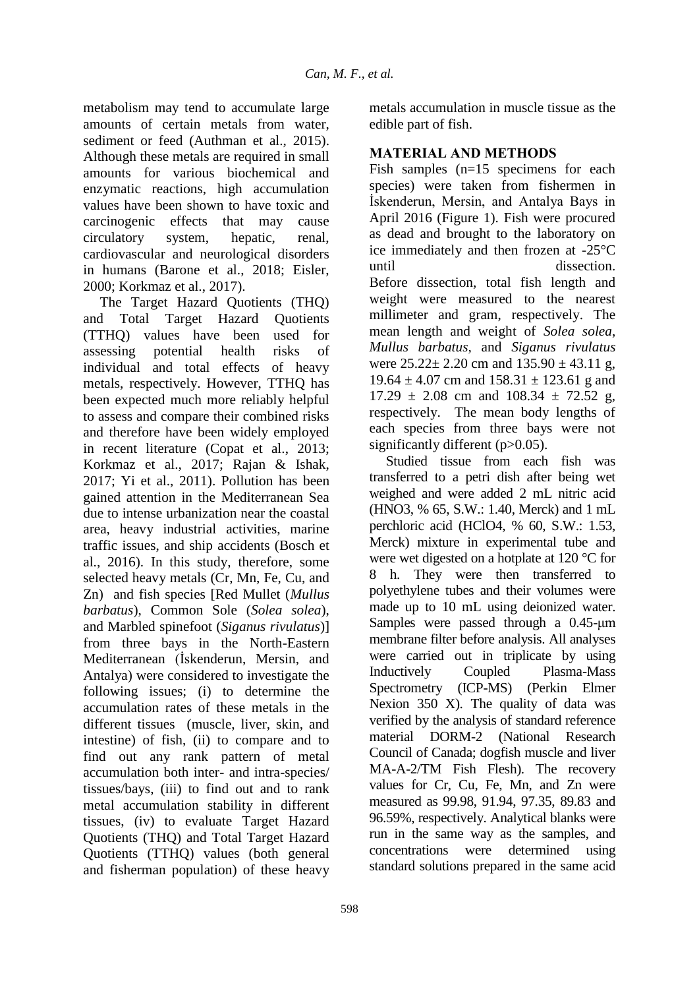metabolism may tend to accumulate large amounts of certain metals from water, sediment or feed (Authman et al., 2015). Although these metals are required in small amounts for various biochemical and enzymatic reactions, high accumulation values have been shown to have toxic and carcinogenic effects that may cause circulatory system, hepatic, renal, cardiovascular and neurological disorders in humans (Barone et al., 2018; Eisler, 2000; Korkmaz et al., 2017).

The Target Hazard Quotients (THQ) and Total Target Hazard Quotients (TTHQ) values have been used for assessing potential health risks of individual and total effects of heavy metals, respectively. However, TTHQ has been expected much more reliably helpful to assess and compare their combined risks and therefore have been widely employed in recent literature (Copat et al., 2013; Korkmaz et al., 2017; Rajan & Ishak, 2017; Yi et al., 2011). Pollution has been gained attention in the Mediterranean Sea due to intense urbanization near the coastal area, heavy industrial activities, marine traffic issues, and ship accidents (Bosch et al., 2016). In this study, therefore, some selected heavy metals (Cr, Mn, Fe, Cu, and Zn) and fish species [Red Mullet (*Mullus barbatus*), Common Sole (*Solea solea*), and Marbled spinefoot (*Siganus rivulatus*)] from three bays in the North-Eastern Mediterranean (İskenderun, Mersin, and Antalya) were considered to investigate the following issues; (i) to determine the accumulation rates of these metals in the different tissues (muscle, liver, skin, and intestine) of fish, (ii) to compare and to find out any rank pattern of metal accumulation both inter- and intra-species/ tissues/bays, (iii) to find out and to rank metal accumulation stability in different tissues, (iv) to evaluate Target Hazard Quotients (THQ) and Total Target Hazard Quotients (TTHQ) values (both general and fisherman population) of these heavy

598

metals accumulation in muscle tissue as the edible part of fish.

## **MATERIAL AND METHODS**

Fish samples (n=15 specimens for each species) were taken from fishermen in İskenderun, Mersin, and Antalya Bays in April 2016 (Figure 1). Fish were procured as dead and brought to the laboratory on ice immediately and then frozen at -25°C until dissection. Before dissection, total fish length and weight were measured to the nearest millimeter and gram, respectively. The mean length and weight of *Solea solea*, *Mullus barbatus,* and *Siganus rivulatus* were  $25.22 \pm 2.20$  cm and  $135.90 \pm 43.11$  g,  $19.64 \pm 4.07$  cm and  $158.31 \pm 123.61$  g and  $17.29 \pm 2.08$  cm and  $108.34 \pm 72.52$  g, respectively. The mean body lengths of each species from three bays were not significantly different (p>0.05).

Studied tissue from each fish was transferred to a petri dish after being wet weighed and were added 2 mL nitric acid (HNO3, % 65, S.W.: 1.40, Merck) and 1 mL perchloric acid (HClO4, % 60, S.W.: 1.53, Merck) mixture in experimental tube and were wet digested on a hotplate at 120 °C for 8 h. They were then transferred to polyethylene tubes and their volumes were made up to 10 mL using deionized water. Samples were passed through a 0.45-μm membrane filter before analysis. All analyses were carried out in triplicate by using Inductively Coupled Plasma-Mass Spectrometry (ICP-MS) (Perkin Elmer Nexion 350 X). The quality of data was verified by the analysis of standard reference material DORM-2 (National Research Council of Canada; dogfish muscle and liver MA-A-2/TM Fish Flesh). The recovery values for Cr, Cu, Fe, Mn, and Zn were measured as 99.98, 91.94, 97.35, 89.83 and 96.59%, respectively. Analytical blanks were run in the same way as the samples, and concentrations were determined using standard solutions prepared in the same acid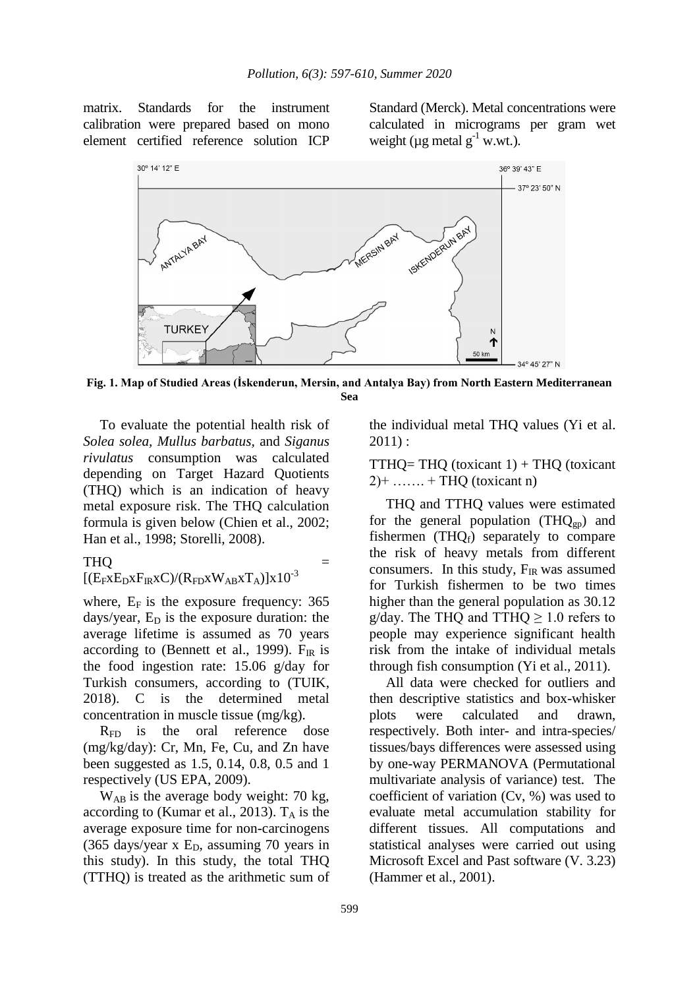matrix. Standards for the instrument calibration were prepared based on mono element certified reference solution ICP Standard (Merck). Metal concentrations were calculated in micrograms per gram wet weight ( $\mu$ g metal g<sup>-1</sup> w.wt.).



**Fig. 1. Map of Studied Areas (İskenderun, Mersin, and Antalya Bay) from North Eastern Mediterranean Sea**

To evaluate the potential health risk of *Solea solea, Mullus barbatus,* and *Siganus rivulatus* consumption was calculated depending on Target Hazard Quotients (THQ) which is an indication of heavy metal exposure risk. The THQ calculation formula is given below (Chien et al., 2002; Han et al., 1998; Storelli, 2008).

### $THQ =$

### $[(E_FxE_DxF_RxC)/(R_{FD}xW_{AB}XT_A)]x10^{-3}$

where,  $E_F$  is the exposure frequency: 365 days/year,  $E_D$  is the exposure duration: the average lifetime is assumed as 70 years according to (Bennett et al., 1999).  $F_{IR}$  is the food ingestion rate: 15.06 g/day for Turkish consumers, according to (TUIK, 2018). C is the determined metal concentration in muscle tissue (mg/kg).

R<sub>FD</sub> is the oral reference dose (mg/kg/day): Cr, Mn, Fe, Cu, and Zn have been suggested as 1.5, 0.14, 0.8, 0.5 and 1 respectively (US EPA, 2009).

 $W_{AB}$  is the average body weight: 70 kg, according to (Kumar et al., 2013).  $T_A$  is the average exposure time for non-carcinogens (365 days/year x  $E<sub>D</sub>$ , assuming 70 years in this study). In this study, the total THQ (TTHQ) is treated as the arithmetic sum of

the individual metal THQ values (Yi et al. 2011) :

 $TTHQ = THQ$  (toxicant 1) + THQ (toxicant  $2$  + ……. + THQ (toxicant n)

THQ and TTHQ values were estimated for the general population  $(THQ_{gp})$  and fishermen (THQ $_f$ ) separately to compare the risk of heavy metals from different consumers. In this study,  $F_{IR}$  was assumed for Turkish fishermen to be two times higher than the general population as 30.12 g/day. The THQ and TTHQ  $\geq$  1.0 refers to people may experience significant health risk from the intake of individual metals through fish consumption (Yi et al., 2011).

All data were checked for outliers and then descriptive statistics and box-whisker plots were calculated and drawn, respectively. Both inter- and intra-species/ tissues/bays differences were assessed using by one-way PERMANOVA (Permutational multivariate analysis of variance) test. The coefficient of variation (Cv, %) was used to evaluate metal accumulation stability for different tissues. All computations and statistical analyses were carried out using Microsoft Excel and Past software (V. 3.23) (Hammer et al., 2001).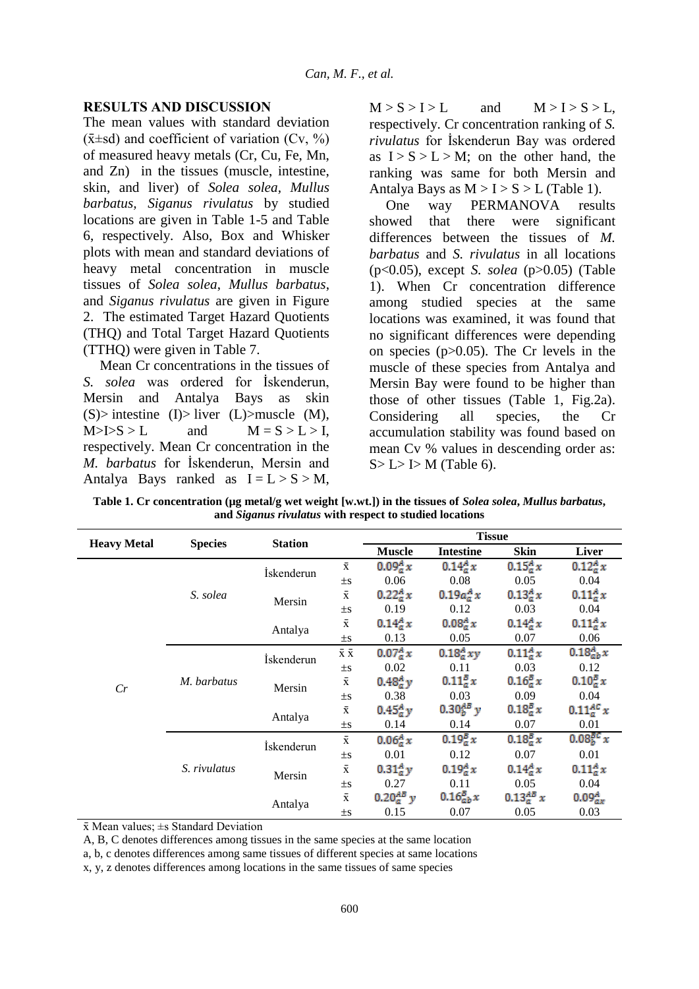## **RESULTS AND DISCUSSION**

The mean values with standard deviation  $(\bar{x} \pm sd)$  and coefficient of variation (Cv, %) of measured heavy metals (Cr, Cu, Fe, Mn, and Zn) in the tissues (muscle, intestine, skin, and liver) of *Solea solea, Mullus barbatus, Siganus rivulatus* by studied locations are given in Table 1-5 and Table 6, respectively. Also, Box and Whisker plots with mean and standard deviations of heavy metal concentration in muscle tissues of *Solea solea*, *Mullus barbatus*, and *Siganus rivulatus* are given in Figure 2. The estimated Target Hazard Quotients (THQ) and Total Target Hazard Quotients (TTHQ) were given in Table 7.

Mean Cr concentrations in the tissues of *S. solea* was ordered for İskenderun, Mersin and Antalya Bays as skin  $(S)$  intestine  $(I)$  liver  $(L)$  muscle  $(M)$ ,  $M > I > S > L$  and  $M = S > L > I$ , respectively. Mean Cr concentration in the *M. barbatus* for İskenderun, Mersin and Antalya Bays ranked as  $I = L > S > M$ ,  $M > S > I > L$  and  $M > I > S > L$ , respectively. Cr concentration ranking of *S. rivulatus* for İskenderun Bay was ordered as  $I > S > L > M$ ; on the other hand, the ranking was same for both Mersin and Antalya Bays as  $M > I > S > L$  (Table 1).

One way PERMANOVA results showed that there were significant differences between the tissues of *M. barbatus* and *S. rivulatus* in all locations (p<0.05), except *S. solea* (p>0.05) (Table 1). When Cr concentration difference among studied species at the same locations was examined, it was found that no significant differences were depending on species (p>0.05). The Cr levels in the muscle of these species from Antalya and Mersin Bay were found to be higher than those of other tissues (Table 1, Fig.2a). Considering all species, the Cr accumulation stability was found based on mean Cv % values in descending order as:  $S > L > J > M$  (Table 6).

**Table 1. Cr concentration (µg metal/g wet weight [w.wt.]) in the tissues of** *Solea solea***,** *Mullus barbatus***, and** *Siganus rivulatus* **with respect to studied locations**

|                    |                | <b>Station</b>     |                                       |                   | <b>Tissue</b>     |                   |                                   |
|--------------------|----------------|--------------------|---------------------------------------|-------------------|-------------------|-------------------|-----------------------------------|
| <b>Heavy Metal</b> | <b>Species</b> |                    |                                       | <b>Muscle</b>     | <b>Intestine</b>  | Skin              | <b>Liver</b>                      |
|                    |                | <i>i</i> skenderun | $\bar{\textbf{x}}$                    | $0.09_a^A x$      | $0.14^{A}_{a} x$  | $0.15^{A}_{a} x$  | $0.12_a^A x$                      |
|                    |                |                    | $\pm s$                               | 0.06              | 0.08              | 0.05              | 0.04                              |
|                    | S. solea       | Mersin             | $\bar{\textbf{x}}$                    | $0.22_a^A x$      | $0.19a_0^A x$     | $0.13^{A}_{a} x$  | $0.11_{a}^{A} x$                  |
|                    |                |                    | $\pm s$                               | 0.19              | 0.12              | 0.03              | 0.04                              |
|                    |                |                    | $\bar{\textbf{x}}$                    | $0.14_a^A x$      | $0.08^{A}_{a} x$  | $0.14^{A}_{a} x$  | $0.11_{a}^{A}x$                   |
|                    |                | Antalya            | $\pm s$                               | 0.13              | 0.05              | 0.07              | 0.06                              |
|                    | M. barbatus    | <i>i</i> skenderun | $\bar{\mathbf{x}}$ $\bar{\mathbf{x}}$ | $0.07^{A}_{a} x$  | $0.18_a^A xy$     | $0.11^{A}_{a} x$  | $0.18^{A}_{ab} x$                 |
|                    |                |                    | $\pm \mathrm{s}$                      | 0.02              | 0.11              | 0.03              | 0.12                              |
|                    |                | Mersin             | $\bar{\textbf{x}}$                    | $0.48_a^A y$      | $0.11_{a}^{B} x$  | $0.16_{a}^{B} x$  | $0.10$ <sub>a</sub> $x$           |
| Cr                 |                |                    | $\pm s$                               | 0.38              | 0.03              | 0.09              | 0.04                              |
|                    |                |                    | $\bar{\textbf{x}}$                    | $0.45^{A}_{a}y$   | $0.30^{AB}_{b}$ y | $0.18_{a}^{B} x$  | $0.11_{a}^{AC}x$                  |
|                    |                | Antalya            | $\pm s$                               | 0.14              | 0.14              | 0.07              | 0.01                              |
|                    |                | İskenderun         | $\bar{\textbf{x}}$                    | $0.06^{A}_{a} x$  | $0.19^{B}_{a} x$  | $0.18_a^B x$      | 0.08 <sub>b</sub> <sup>BC</sup> x |
|                    |                |                    | $\pm s$                               | 0.01              | 0.12              | 0.07              | 0.01                              |
|                    | S. rivulatus   |                    | $\bar{\textbf{x}}$                    | $0.31_{a}^{A}y$   | $0.19^{A}_{a} x$  | $0.14^{A}_{a} x$  | $0.11_{a}^{A} x$                  |
|                    |                | Mersin             | $\pm s$                               | 0.27              | 0.11              | 0.05              | 0.04                              |
|                    |                |                    | $\bar{\textbf{X}}$                    | $0.20^{AB}_{a}$ y | $0.16_{ab}^B x$   | $0.13^{AB}_{a} x$ | $0.09^{A}_{ax}$                   |
|                    |                | Antalya            | $\pm s$                               | 0.15              | 0.07              | 0.05              | 0.03                              |

 $\bar{x}$  Mean values;  $\pm s$  Standard Deviation

A, B, C denotes differences among tissues in the same species at the same location

a, b, c denotes differences among same tissues of different species at same locations

x, y, z denotes differences among locations in the same tissues of same species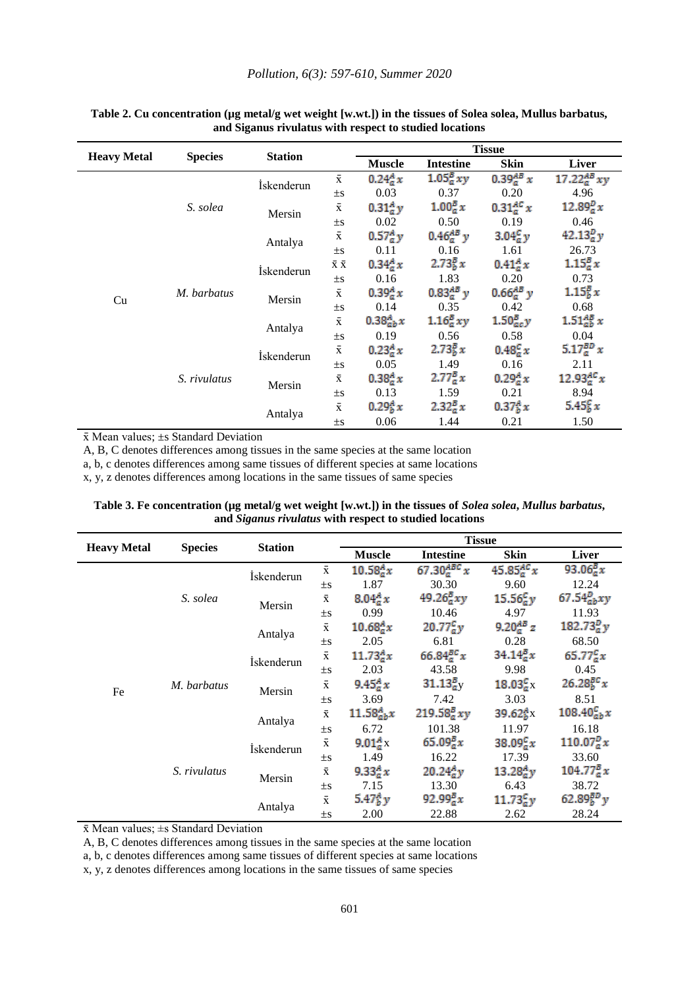|                    |              | <b>Station</b><br><b>Species</b> |                                       | <b>Tissue</b>    |                   |                                |                     |  |  |
|--------------------|--------------|----------------------------------|---------------------------------------|------------------|-------------------|--------------------------------|---------------------|--|--|
| <b>Heavy Metal</b> |              |                                  |                                       | <b>Muscle</b>    | <b>Intestine</b>  | Skin                           | <b>Liver</b>        |  |  |
|                    |              | İskenderun                       | $\bar{\textbf{X}}$                    | $0.24_a^A x$     | $1.05_a^B xy$     | $0.39^{AB}_{a} x$              | 17.22 $_{a}^{AB}xy$ |  |  |
|                    |              |                                  | $\pm$ S                               | 0.03             | 0.37              | 0.20                           | 4.96                |  |  |
|                    | S. solea     | Mersin                           | $\bar{x}$                             | $0.31^{A}_{a}y$  | $1.00^{B}_{a} x$  | $0.31^{AC}_{a}x$               | $12.89_a^p x$       |  |  |
|                    |              |                                  | $\pm \rm{s}$                          | 0.02             | 0.50              | 0.19                           | 0.46                |  |  |
|                    |              | Antalya                          | $\bar{\textbf{x}}$                    | $0.57^{A}_{a}y$  | $0.46^{AB}_{a}$ y | 3.04 <sub>a</sub> <sup>c</sup> | $42.13^{D}_{a}y$    |  |  |
|                    |              |                                  | $\pm$ s                               | 0.11             | 0.16              | 1.61                           | 26.73               |  |  |
|                    | M. barbatus  | <i>i</i> skenderun               | $\bar{\textbf{X}}$ $\bar{\textbf{X}}$ | $0.34_a^A x$     | $2.73^{B}_{b}x$   | $0.41_a^A x$                   | $1.15_{a}^{B} x$    |  |  |
|                    |              |                                  | $\pm s$                               | 0.16             | 1.83              | 0.20                           | 0.73                |  |  |
|                    |              | Mersin                           | $\bar{\textbf{X}}$                    | $0.39^{A}_{a} x$ | $0.83^{AB}_{a}$ y | $0.66^{AB}_{a}$ y              | $1.15\frac{5}{6}x$  |  |  |
| Cu                 |              |                                  | $\pm s$                               | 0.14             | 0.35              | 0.42                           | 0.68                |  |  |
|                    |              |                                  | $\bar{\textbf{x}}$                    | $0.38^{A}_{ab}x$ | $1.16_a^B xy$     | $1.50_{ac}^{B}y$               | $1.51_{ab}^{AB}x$   |  |  |
|                    |              | Antalya                          | $\pm$ s                               | 0.19             | 0.56              | 0.58                           | 0.04                |  |  |
|                    |              | İskenderun                       | $\bar{\textbf{x}}$                    | $0.23^{A}_{a} x$ | $2.73^{B}_{b}x$   | $0.48^{c}_{a} x$               | 5.17 $_{a}^{BD}$ x  |  |  |
|                    |              |                                  | $\pm$ S                               | 0.05             | 1.49              | 0.16                           | 2.11                |  |  |
|                    | S. rivulatus | Mersin                           | $\bar{\textbf{X}}$                    | $0.38^{A}_{a} x$ | $2.77^{B}_{a} x$  | $0.29_a^A x$                   | $12.93_0^{AC}x$     |  |  |
|                    |              |                                  | $\pm s$                               | 0.13             | 1.59              | 0.21                           | 8.94                |  |  |
|                    |              |                                  | $\bar{\textbf{x}}$                    | $0.29^{A}_{b} x$ | $2.32_a^B x$      | $0.37^{A}_{h}x$                | $5.45\frac{c}{b}x$  |  |  |
|                    |              | Antalya                          | $\pm$ s                               | 0.06             | 1.44              | 0.21                           | 1.50                |  |  |

#### Table 2. Cu concentration (µg metal/g wet weight [w.wt.]) in the tissues of Solea solea, Mullus barbatus, **and Siganus rivulatus with respect to studied locations**

 $\bar{x}$  Mean values;  $\pm s$  Standard Deviation

A, B, C denotes differences among tissues in the same species at the same location

a, b, c denotes differences among same tissues of different species at same locations

x, y, z denotes differences among locations in the same tissues of same species

Table 3. Fe concentration (µg metal/g wet weight [w.wt.]) in the tissues of *Solea solea*, *Mullus barbatus*, **and** *Siganus rivulatus* **with respect to studied locations**

|                    |                |                |                    |                   | <b>Tissue</b>          |                                 |                      |  |
|--------------------|----------------|----------------|--------------------|-------------------|------------------------|---------------------------------|----------------------|--|
| <b>Heavy Metal</b> | <b>Species</b> | <b>Station</b> |                    | <b>Muscle</b>     | <b>Intestine</b>       | Skin                            | Liver                |  |
|                    |                | İskenderun     | $\bar{\textbf{x}}$ | $10.58^{A}_{a}x$  | 67.30 $_{a}^{ABC}x$    | 45.85 $_{a}^{AC}x$              | 93.06 $\frac{B}{a}x$ |  |
| S. solea           |                |                | $\pm s$            | 1.87              | 30.30                  | 9.60                            | 12.24                |  |
|                    |                | Mersin         | $\bar{\textbf{X}}$ | 8.04 $^{A}_{a}x$  | $49.26_a^B xy$         | $15.56^{c}_{a}y$                | 67.54 $a_bxy$        |  |
|                    |                |                | $\pm$ S            | 0.99              | 10.46                  | 4.97                            | 11.93                |  |
|                    |                | Antalya        | $\bar{\textbf{x}}$ | $10.68^{A}_{a}x$  | $20.77_g^{\text{c}}$ y | 9.20 $_{a}^{AB}$ z              | 182.73 $^{D}_{a}y$   |  |
|                    |                |                | $\pm$ S            | 2.05              | 6.81                   | 0.28                            | 68.50                |  |
| Fe                 |                | İskenderun     | $\bar{\textbf{x}}$ | $11.73^{A}_{a}x$  | 66.84 $a^{\text{BC}}x$ | $34.14^{B}_{a}x$                | $65.77^{c}_{a}x$     |  |
|                    | M. barbatus    |                | $\pm$ S            | 2.03              | 43.58                  | 9.98                            | 0.45                 |  |
|                    |                | Mersin         | $\bar{\textbf{x}}$ | $9.45^{A}_{a} x$  | $31.13aB$ <sub>V</sub> | 18.03 <sub>a</sub> <sup>c</sup> | $26.28^{BC}_{b}x$    |  |
|                    |                |                | $\pm$ S            | 3.69              | 7.42                   | 3.03                            | 8.51                 |  |
|                    |                |                | $\bar{\textbf{X}}$ | $11.58^A_{ab}x$   | $219.58^{B}_{a}xy$     | 39.62 <sub>b</sub> <sup>A</sup> | $108.40^{c}_{ab}x$   |  |
|                    |                | Antalya        | $\pm$ s            | 6.72              | 101.38                 | 11.97                           | 16.18                |  |
|                    |                | İskenderun     | $\bar{\textbf{x}}$ | 9.01 $^{A}_{a}$ x | $65.09^{B}_{a}x$       | $38.09^{c}_{a}x$                | $110.07^{p}_{a}x$    |  |
|                    |                |                | $\pm$ S            | 1.49              | 16.22                  | 17.39                           | 33.60                |  |
|                    | S. rivulatus   | Mersin         | $\bar{\textbf{x}}$ | $9.33^{A}_{a}x$   | $20.24^{A}_{a}y$       | $13.28_0^4y$                    | $104.77^{B}_{a}x$    |  |
|                    |                |                | $\pm$ S            | 7.15              | 13.30                  | 6.43                            | 38.72                |  |
|                    |                | Antalya        | $\bar{\textbf{X}}$ | 5.47 $^{A}_{b}y$  | $92.99^{B}_{a}x$       | $11.73^{c}_{a}y$                | $62.89_{b}^{BD}y$    |  |
|                    |                |                | $\pm$ s            | 2.00              | 22.88                  | 2.62                            | 28.24                |  |

 $\bar{x}$  Mean values;  $\pm s$  Standard Deviation

A, B, C denotes differences among tissues in the same species at the same location

a, b, c denotes differences among same tissues of different species at same locations

x, y, z denotes differences among locations in the same tissues of same species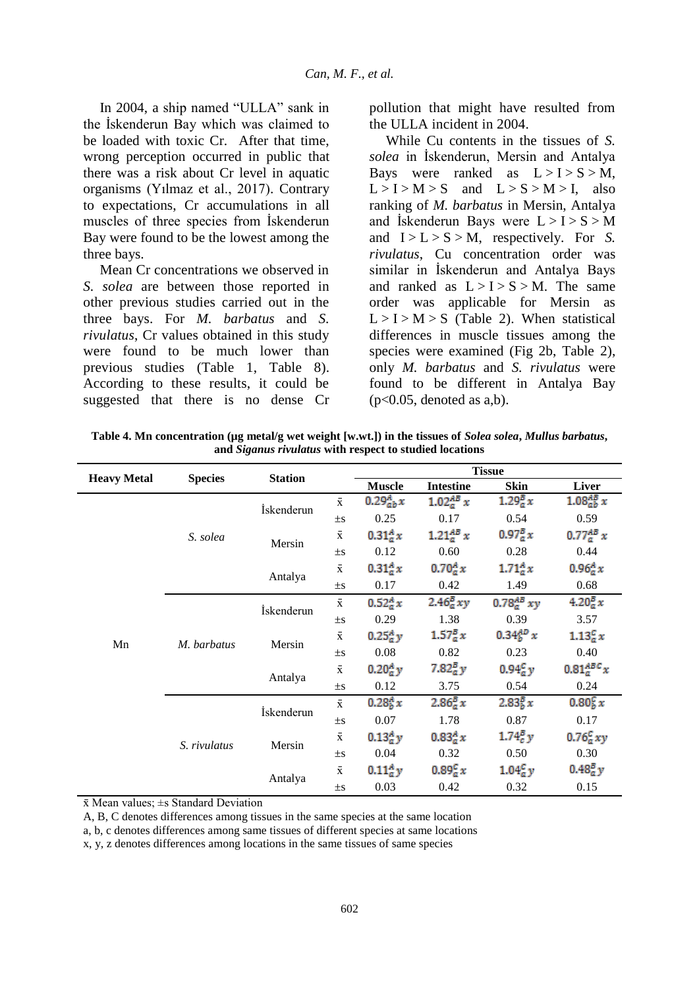In 2004, a ship named "ULLA" sank in the İskenderun Bay which was claimed to be loaded with toxic Cr. After that time, wrong perception occurred in public that there was a risk about Cr level in aquatic organisms (Yılmaz et al., 2017). Contrary to expectations, Cr accumulations in all muscles of three species from İskenderun Bay were found to be the lowest among the three bays.

Mean Cr concentrations we observed in *S. solea* are between those reported in other previous studies carried out in the three bays. For *M. barbatus* and *S. rivulatus*, Cr values obtained in this study were found to be much lower than previous studies (Table 1, Table 8). According to these results, it could be suggested that there is no dense Cr pollution that might have resulted from the ULLA incident in 2004.

While Cu contents in the tissues of *S. solea* in İskenderun, Mersin and Antalya Bays were ranked as  $L > I > S > M$ ,  $L > I > M > S$  and  $L > S > M > I$ , also ranking of *M. barbatus* in Mersin, Antalya and Iskenderun Bays were  $L > I > S > M$ and  $I > L > S > M$ , respectively. For *S*. *rivulatus*, Cu concentration order was similar in İskenderun and Antalya Bays and ranked as  $L > I > S > M$ . The same order was applicable for Mersin as  $L > I > M > S$  (Table 2). When statistical differences in muscle tissues among the species were examined (Fig 2b, Table 2), only *M. barbatus* and *S. rivulatus* were found to be different in Antalya Bay  $(p<0.05,$  denoted as a,b).

**Table 4. Mn concentration (µg metal/g wet weight [w.wt.]) in the tissues of** *Solea solea***,** *Mullus barbatus***, and** *Siganus rivulatus* **with respect to studied locations**

|                    |                | <b>Station</b> |                    | <b>Tissue</b>    |                                   |                                    |                                  |  |
|--------------------|----------------|----------------|--------------------|------------------|-----------------------------------|------------------------------------|----------------------------------|--|
| <b>Heavy Metal</b> | <b>Species</b> |                |                    | <b>Muscle</b>    | <b>Intestine</b>                  | <b>Skin</b>                        | Liver                            |  |
|                    |                | İskenderun     | $\bar{\textbf{x}}$ | $0.29^{A}_{ab}x$ | 1.02 <sub>a</sub> <sup>AB</sup> x | $1.29_a^B x$                       | $1.08_{ab}^{AB}x$                |  |
|                    |                |                | $\pm$ s            | 0.25             | 0.17                              | 0.54                               | 0.59                             |  |
|                    | S. solea       | Mersin         | $\bar{\textbf{x}}$ | $0.31_{a}^{A}x$  | $1.21_{a}^{AB} x$                 | $0.97^{B}_{a} x$                   | $0.77^{AB}_{a} x$                |  |
|                    |                |                | $\pm s$            | 0.12             | 0.60                              | 0.28                               | 0.44                             |  |
|                    |                | Antalya        | $\bar{\textbf{x}}$ | $0.31_{a}^{A}x$  | $0.70^{A}_{a} x$                  | $1.71^{A}_{a}x$                    | $0.96_a^A x$                     |  |
|                    |                |                | $\pm s$            | 0.17             | 0.42                              | 1.49                               | 0.68                             |  |
|                    | M. barbatus    | İskenderun     | $\bar{\textbf{x}}$ | $0.52_a^A x$     | $2.46_a^B xy$                     | 0.78 <sub>a</sub> <sup>AB</sup> xy | $4.20_{a}^{B}x$                  |  |
|                    |                |                | $\pm s$            | 0.29             | 1.38                              | 0.39                               | 3.57                             |  |
| Mn                 |                | Mersin         | $\bar{\textbf{x}}$ | $0.25_a^A y$     | $1.57^{B}_{a} x$                  | $0.34_0^{AD} x$                    | $1.13^{c}_{a}x$                  |  |
|                    |                |                | $\pm s$            | 0.08             | 0.82                              | 0.23                               | 0.40                             |  |
|                    |                |                | $\bar{\textbf{x}}$ | $0.20^A_{a}y$    | $7.82\frac{B}{a}y$                | $0.94^{c}_{a}$ y                   | $0.81_a^{ABC}x$                  |  |
|                    |                | Antalya        | $\pm$ s            | 0.12             | 3.75                              | 0.54                               | 0.24                             |  |
|                    |                | İskenderun     | $\bar{\textbf{X}}$ | $0.28^{A}_{b} x$ | $2.86^{B}_{a} x$                  | $2.83\frac{5}{6}x$                 | 0.80 <sub>b</sub> <sup>C</sup> x |  |
|                    |                |                | $\pm$ S            | 0.07             | 1.78                              | 0.87                               | 0.17                             |  |
|                    |                | Mersin         | $\bar{\textbf{x}}$ | $0.13^{A}_{a}y$  | $0.83^{A}_{a}x$                   | $1.74g^2$ y                        | $0.76_a^c xy$                    |  |
|                    | S. rivulatus   |                | $\pm s$            | 0.04             | 0.32                              | 0.50                               | 0.30                             |  |
|                    |                |                | $\bar{\textbf{x}}$ | $0.11_{a}^{A}y$  | $0.89^{c}_{a} x$                  | 1.04 <sub>a</sub> <sup>c</sup>     | $0.48_a^B y$                     |  |
|                    |                | Antalya        | $\pm$ S            | 0.03             | 0.42                              | 0.32                               | 0.15                             |  |

 $\bar{x}$  Mean values;  $\pm s$  Standard Deviation

A, B, C denotes differences among tissues in the same species at the same location

a, b, c denotes differences among same tissues of different species at same locations

x, y, z denotes differences among locations in the same tissues of same species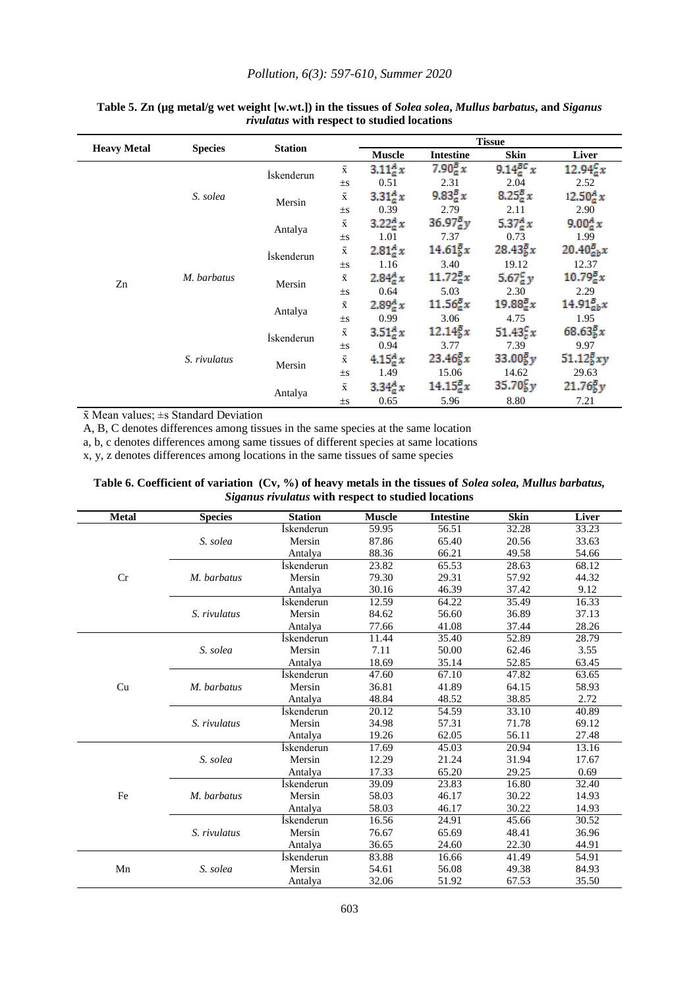#### *Pollution, 6(3): 597-610, Summer 2020*

|                    |                |                    |                    |                  |                                   | <b>Tissue</b>                     |                                   |
|--------------------|----------------|--------------------|--------------------|------------------|-----------------------------------|-----------------------------------|-----------------------------------|
| <b>Heavy Metal</b> | <b>Species</b> | <b>Station</b>     |                    | <b>Muscle</b>    | <b>Intestine</b>                  | Skin                              | <b>Liver</b>                      |
|                    |                | <i>i</i> skenderun | $\bar{x}$          | $3.11_{a}^{A}x$  | $7.90_a^B x$                      | $9.14_0^{BC}x$                    | $12.94^{c}_{a}x$                  |
|                    |                |                    | $\pm s$            | 0.51             | 2.31                              | 2.04                              | 2.52                              |
|                    | S. solea       | Mersin             | $\bar{\textbf{x}}$ | $3.31^{A}_{a}x$  | 9.83 <sub>a</sub> <sup>B</sup> x  | $8.25^{B}_{a} x$                  | $12.50^{A}_{a} x$                 |
|                    |                |                    | $\pm$ S            | 0.39             | 2.79                              | 2.11                              | 2.90                              |
|                    |                | Antalya            | $\bar{\textbf{x}}$ | $3.22_a^A x$     | $36.97^{B}_{a}y$                  | 5.37 ${}^{A}_{a}x$                | 9.00 $^{A}_{a}x$                  |
|                    |                |                    | $\pm$ S            | 1.01             | 7.37                              | 0.73                              | 1.99                              |
|                    | M. barbatus    | <i>i</i> skenderun | $\bar{\mathbf{X}}$ | $2.81^{A}_{a}x$  | $14.61\frac{5}{6}x$               | $28.43^{B}_{h}x$                  | $20.40_{ab}^{B}x$                 |
|                    |                |                    | $\pm$ S            | 1.16             | 3.40                              | 19.12                             | 12.37                             |
| Zn                 |                | Mersin             | $\bar{\textbf{x}}$ | $2.84_a^A x$     | $11.72_{a}^{B}x$                  | 5.67 $^{c}_{a}$ y                 | $10.79_a^B x$                     |
|                    |                |                    | $\pm$ S            | 0.64             | 5.03                              | 2.30                              | 2.29                              |
|                    |                | Antalya            | $\bar{\textbf{x}}$ | $2.89^{A}_{a} x$ | $11.56_{a}^{B}x$                  | $19.88^{B}_{a}x$                  | $14.91_{ab}^{B}x$                 |
|                    |                |                    | $\pm$ S            | 0.99             | 3.06                              | 4.75                              | 1.95                              |
|                    |                | İskenderun         | $\bar{x}$          | $3.51_{a}^{A}x$  | 12.14 <sub>b</sub> <sup>B</sup> x | $51.43^{c}_{c}x$                  | $68.63\frac{5}{6}x$               |
|                    |                |                    | $\pm$ S            | 0.94             | 3.77                              | 7.39                              | 9.97                              |
|                    | S. rivulatus   | Mersin             | $\bar{\textbf{x}}$ | $4.15^{A}_{a} x$ | $23.46\frac{B}{b}x$               | 33.00 <sub>b</sub> <sup>B</sup> y | $51.12\frac{5}{6}xy$              |
|                    |                |                    | $\pm$ S            | 1.49             | 15.06                             | 14.62                             | 29.63                             |
|                    |                |                    | $\bar{\textbf{x}}$ | $3.34_a^A x$     | $14.15^{B}_{a}x$                  | 35.70 <sub>b</sub> <sup>c</sup>   | 21.76 <sub>b</sub> <sup>B</sup> y |
|                    |                | Antalya            |                    | 0.65             | 5.96                              | 8.80                              | 7.21                              |

#### **Table 5. Zn (µg metal/g wet weight [w.wt.]) in the tissues of** *Solea solea***,** *Mullus barbatus***, and** *Siganus rivulatus* **with respect to studied locations**

 $\bar{x}$  Mean values;  $\pm s$  Standard Deviation

A, B, C denotes differences among tissues in the same species at the same location

a, b, c denotes differences among same tissues of different species at same locations

x, y, z denotes differences among locations in the same tissues of same species

#### **Table 6. Coefficient of variation (Cv, %) of heavy metals in the tissues of** *Solea solea, Mullus barbatus, Siganus rivulatus* **with respect to studied locations**

| <b>Metal</b> | <b>Species</b> | <b>Station</b>     | <b>Muscle</b> | <b>Intestine</b> | <b>Skin</b> | Liver |
|--------------|----------------|--------------------|---------------|------------------|-------------|-------|
|              |                | <i>i</i> skenderun | 59.95         | 56.51            | 32.28       | 33.23 |
|              | S. solea       | Mersin             | 87.86         | 65.40            | 20.56       | 33.63 |
|              |                | Antalya            | 88.36         | 66.21            | 49.58       | 54.66 |
|              |                | İskenderun         | 23.82         | 65.53            | 28.63       | 68.12 |
| Cr           | M. barbatus    | Mersin             | 79.30         | 29.31            | 57.92       | 44.32 |
|              |                | Antalya            | 30.16         | 46.39            | 37.42       | 9.12  |
|              |                | İskenderun         | 12.59         | 64.22            | 35.49       | 16.33 |
|              | S. rivulatus   | Mersin             | 84.62         | 56.60            | 36.89       | 37.13 |
|              |                | Antalya            | 77.66         | 41.08            | 37.44       | 28.26 |
|              |                | <i>i</i> skenderun | 11.44         | 35.40            | 52.89       | 28.79 |
|              | S. solea       | Mersin             | 7.11          | 50.00            | 62.46       | 3.55  |
|              |                | Antalya            | 18.69         | 35.14            | 52.85       | 63.45 |
|              |                | İskenderun         | 47.60         | 67.10            | 47.82       | 63.65 |
| Cu           | M. barbatus    | Mersin             | 36.81         | 41.89            | 64.15       | 58.93 |
|              |                | Antalya            | 48.84         | 48.52            | 38.85       | 2.72  |
|              |                | <i>i</i> skenderun | 20.12         | 54.59            | 33.10       | 40.89 |
|              | S. rivulatus   | Mersin             | 34.98         | 57.31            | 71.78       | 69.12 |
|              |                | Antalya            | 19.26         | 62.05            | 56.11       | 27.48 |
|              |                | <i>i</i> skenderun | 17.69         | 45.03            | 20.94       | 13.16 |
|              | S. solea       | Mersin             | 12.29         | 21.24            | 31.94       | 17.67 |
|              |                | Antalya            | 17.33         | 65.20            | 29.25       | 0.69  |
|              |                | <i>i</i> skenderun | 39.09         | 23.83            | 16.80       | 32.40 |
| Fe           | M. barbatus    | Mersin             | 58.03         | 46.17            | 30.22       | 14.93 |
|              |                | Antalya            | 58.03         | 46.17            | 30.22       | 14.93 |
|              |                | <i>i</i> skenderun | 16.56         | 24.91            | 45.66       | 30.52 |
|              | S. rivulatus   | Mersin             | 76.67         | 65.69            | 48.41       | 36.96 |
|              |                | Antalya            | 36.65         | 24.60            | 22.30       | 44.91 |
|              |                | İskenderun         | 83.88         | 16.66            | 41.49       | 54.91 |
| Mn           | S. solea       | Mersin             | 54.61         | 56.08            | 49.38       | 84.93 |
|              |                | Antalya            | 32.06         | 51.92            | 67.53       | 35.50 |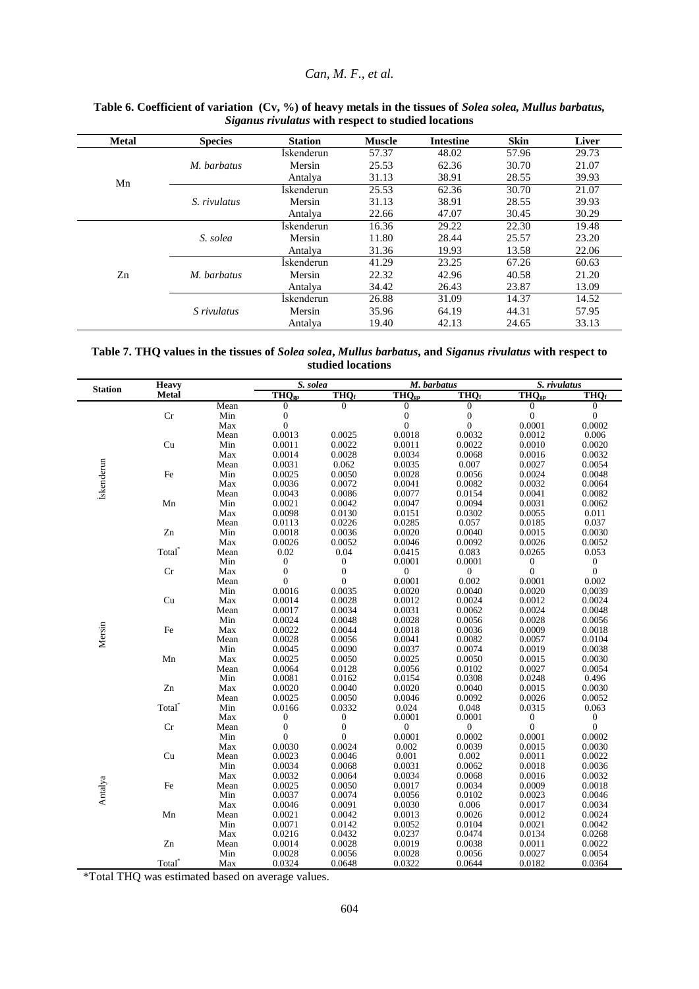## *Can, M. F., et al.*

| <b>Metal</b> | <b>Species</b>     | <b>Station</b>    | <b>Muscle</b> | <b>Intestine</b> | <b>Skin</b> | Liver |
|--------------|--------------------|-------------------|---------------|------------------|-------------|-------|
|              |                    | İskenderun        | 57.37         | 48.02            | 57.96       | 29.73 |
|              | M. barbatus        | Mersin            | 25.53         | 62.36            | 30.70       | 21.07 |
| Mn           |                    | Antalya           | 31.13         | 38.91            | 28.55       | 39.93 |
|              |                    | <b>Iskenderun</b> | 25.53         | 62.36            | 30.70       | 21.07 |
|              | S. rivulatus       | Mersin            | 31.13         | 38.91            | 28.55       | 39.93 |
|              |                    | Antalya           | 22.66         | 47.07            | 30.45       | 30.29 |
|              |                    | İskenderun        | 16.36         | 29.22            | 22.30       | 19.48 |
|              | S. solea           | Mersin            | 11.80         | 28.44            | 25.57       | 23.20 |
|              |                    | Antalya           | 31.36         | 19.93            | 13.58       | 22.06 |
|              |                    | İskenderun        | 41.29         | 23.25            | 67.26       | 60.63 |
| Zn           | M. barbatus        | Mersin            | 22.32         | 42.96            | 40.58       | 21.20 |
|              |                    | Antalya           | 34.42         | 26.43            | 23.87       | 13.09 |
|              |                    | <b>Iskenderun</b> | 26.88         | 31.09            | 14.37       | 14.52 |
|              | <i>S</i> rivulatus | Mersin            | 35.96         | 64.19            | 44.31       | 57.95 |
|              |                    | Antalya           | 19.40         | 42.13            | 24.65       | 33.13 |

#### **Table 6. Coefficient of variation (Cv, %) of heavy metals in the tissues of** *Solea solea, Mullus barbatus, Siganus rivulatus* **with respect to studied locations**

| Table 7. THO values in the tissues of Solea solea, Mullus barbatus, and Siganus rivulatus with respect to |
|-----------------------------------------------------------------------------------------------------------|
| studied locations                                                                                         |

|                   | <b>Heavy</b>       |      |                  | S. solea<br>M. barbatus |                                                 |                  | S. rivulatus     |                  |
|-------------------|--------------------|------|------------------|-------------------------|-------------------------------------------------|------------------|------------------|------------------|
| <b>Station</b>    | <b>Metal</b>       |      | $THQ_{gp}$       | <b>THQf</b>             | $THQ_{gp}$                                      | THO <sub>f</sub> | $THQ_{gp}$       | THQ <sub>f</sub> |
|                   |                    | Mean | $\boldsymbol{0}$ | $\overline{0}$          | $\overline{0}$                                  | $\overline{0}$   | $\overline{0}$   | $\overline{0}$   |
|                   | $\rm Cr$           | Min  | $\boldsymbol{0}$ |                         | $\boldsymbol{0}$                                | $\boldsymbol{0}$ | $\boldsymbol{0}$ | $\overline{0}$   |
|                   |                    | Max  | $\boldsymbol{0}$ |                         | $\boldsymbol{0}$                                | $\boldsymbol{0}$ | 0.0001           | 0.0002           |
|                   |                    | Mean | 0.0013           | 0.0025                  | 0.0018                                          | 0.0032           | 0.0012           | 0.006            |
|                   | Cu                 | Min  | 0.0011           | 0.0022                  | 0.0011                                          | 0.0022           | 0.0010           | 0.0020           |
|                   |                    | Max  | 0.0014           | 0.0028                  | 0.0034                                          | 0.0068           | 0.0016           | 0.0032           |
|                   |                    | Mean | 0.0031           | 0.062                   | 0.0035                                          | 0.007            | 0.0027           | 0.0054           |
|                   | $\rm Fe$           | Min  | 0.0025           | 0.0050                  | 0.0028                                          | 0.0056           | 0.0024           | 0.0048           |
| <b>İskenderun</b> |                    | Max  | 0.0036           | 0.0072                  | 0.0041                                          | 0.0082           | 0.0032           | 0.0064           |
|                   |                    | Mean | 0.0043           | 0.0086                  | 0.0077                                          | 0.0154           | 0.0041           | 0.0082           |
|                   | Mn                 | Min  | 0.0021           | 0.0042                  | 0.0047                                          | 0.0094           | 0.0031           | 0.0062           |
|                   |                    | Max  | 0.0098           | 0.0130                  | 0.0151                                          | 0.0302           | 0.0055           | 0.011            |
|                   |                    | Mean | 0.0113           | 0.0226                  | 0.0285                                          | 0.057            | 0.0185           | 0.037            |
|                   | Zn                 | Min  | 0.0018           | 0.0036                  | 0.0020                                          | 0.0040           | 0.0015           | 0.0030           |
|                   |                    | Max  | 0.0026           | 0.0052                  | 0.0046                                          | 0.0092           | 0.0026           | 0.0052           |
|                   | Total <sup>*</sup> | Mean | 0.02             | 0.04                    | 0.0415                                          | 0.083            | 0.0265           | 0.053            |
|                   |                    | Min  | 0                | $\boldsymbol{0}$        | 0.0001                                          | 0.0001           | $\boldsymbol{0}$ | $\boldsymbol{0}$ |
|                   | Cr                 | Max  | $\boldsymbol{0}$ | $\boldsymbol{0}$        | $\boldsymbol{0}$                                | $\boldsymbol{0}$ | $\boldsymbol{0}$ | $\boldsymbol{0}$ |
|                   |                    | Mean | $\overline{0}$   | $\boldsymbol{0}$        | 0.0001                                          | 0.002            | 0.0001           | 0.002            |
|                   |                    | Min  | 0.0016           | 0.0035                  | 0.0020                                          | 0.0040           | 0.0020           | 0,0039           |
|                   | Cu                 | Max  | 0.0014           | 0.0028                  | 0.0012                                          | 0.0024           | 0.0012           | 0.0024           |
|                   |                    | Mean | 0.0017           | 0.0034                  | 0.0031                                          | 0.0062           | 0.0024           | 0.0048           |
|                   |                    | Min  | 0.0024           | 0.0048                  | 0.0028                                          | 0.0056           | 0.0028           | 0.0056           |
| Mersin            | Fe                 | Max  | 0.0022           | 0.0044                  | 0.0018                                          | 0.0036           | 0.0009           | 0.0018           |
|                   |                    | Mean | 0.0028           | 0.0056                  | 0.0041                                          | 0.0082           | 0.0057           | 0.0104           |
|                   |                    | Min  | 0.0045           | 0.0090                  | 0.0037                                          | 0.0074           | 0.0019           | 0.0038           |
|                   | Mn                 | Max  | 0.0025           | 0.0050                  | 0.0025                                          | 0.0050           | 0.0015           | 0.0030           |
|                   |                    | Mean | 0.0064           | 0.0128                  | 0.0056                                          | 0.0102           | 0.0027           | 0.0054           |
|                   |                    | Min  | 0.0081           | 0.0162                  | 0.0154                                          | 0.0308           | 0.0248           | 0.496            |
|                   | Zn                 | Max  | 0.0020           | 0.0040                  | 0.0020                                          | 0.0040           | 0.0015           | 0.0030           |
|                   |                    | Mean | 0.0025           | 0.0050                  | 0.0046                                          | 0.0092           | 0.0026           | 0.0052           |
|                   | Total <sup>*</sup> | Min  | 0.0166           | 0.0332                  | 0.024                                           | 0.048            | 0.0315           | 0.063            |
|                   |                    | Max  | 0                | 0                       | 0.0001                                          | 0.0001           | 0                | $\boldsymbol{0}$ |
|                   | Cr                 | Mean | $\boldsymbol{0}$ | $\boldsymbol{0}$        | $\begin{matrix} 0 \\ 0.0001 \end{matrix}$       | $\boldsymbol{0}$ | $\boldsymbol{0}$ | $\boldsymbol{0}$ |
|                   |                    | Min  | $\overline{0}$   | $\overline{0}$          |                                                 | 0.0002           | 0.0001           | 0.0002           |
|                   |                    | Max  | 0.0030           | 0.0024                  | $0.002\,$                                       | 0.0039           | 0.0015           | 0.0030           |
|                   | Cu                 | Mean | 0.0023           | 0.0046                  | 0.001                                           | 0.002            | 0.0011           | 0.0022           |
|                   |                    | Min  | 0.0034           | 0.0068                  | 0.0031                                          | 0.0062           | 0.0018           | 0.0036           |
|                   |                    | Max  | 0.0032           | 0.0064                  | 0.0034                                          | 0.0068           | 0.0016           | 0.0032           |
| Antalya           | Fe                 | Mean | 0.0025           | 0.0050                  | $\begin{array}{c} 0.0017 \\ 0.0056 \end{array}$ | 0.0034           | 0.0009           | 0.0018           |
|                   |                    | Min  | 0.0037           | 0.0074                  |                                                 | 0.0102           | 0.0023           | 0.0046           |
|                   |                    | Max  | 0.0046           | 0.0091                  | 0.0030                                          | 0.006            | 0.0017           | 0.0034           |
|                   | Mn                 | Mean | 0.0021           | 0.0042                  | 0.0013                                          | 0.0026           | 0.0012           | 0.0024           |
|                   |                    | Min  | 0.0071           | 0.0142                  | 0.0052                                          | 0.0104           | 0.0021           | 0.0042           |
|                   |                    | Max  | 0.0216           | 0.0432                  | 0.0237                                          | 0.0474           | 0.0134           | 0.0268           |
|                   | Zn                 | Mean | 0.0014           | 0.0028                  | 0.0019                                          | 0.0038           | 0.0011           | 0.0022           |
|                   |                    | Min  | 0.0028           | 0.0056                  | 0.0028                                          | 0.0056           | 0.0027           | 0.0054           |
|                   | Total <sup>*</sup> | Max  | 0.0324           | 0.0648                  | 0.0322                                          | 0.0644           | 0.0182           | 0.0364           |

\*Total THQ was estimated based on average values.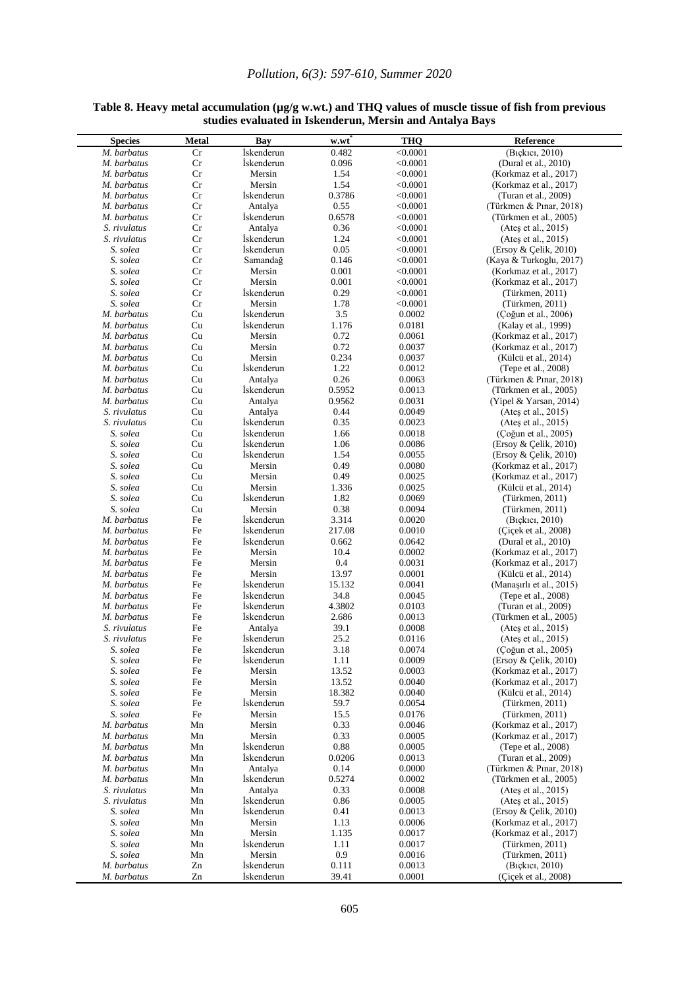## *Pollution, 6(3): 597-610, Summer 2020*

| <b>Species</b>       | Metal    | Bay                  | w.wt           | <b>THQ</b>           | Reference                          |
|----------------------|----------|----------------------|----------------|----------------------|------------------------------------|
| M. barbatus          | Cr       | <i>Iskenderun</i>    | 0.482          |                      | (Bickici, 2010)                    |
| M. barbatus          | Cr       | <i>i</i> skenderun   | 0.096          | < 0.0001<br>< 0.0001 | (Dural et al., 2010)               |
| M. barbatus          | Cr       | Mersin               | 1.54           | < 0.0001             | (Korkmaz et al., 2017)             |
| M. barbatus          | Cr       | Mersin               | 1.54           | < 0.0001             | (Korkmaz et al., 2017)             |
| M. barbatus          | Cr       | <i>Iskenderun</i>    | 0.3786         | < 0.0001             | (Turan et al., 2009)               |
| M. barbatus          | Cr       | Antalya              | 0.55           | < 0.0001             | (Türkmen & Pınar, 2018)            |
| M. barbatus          | Cr       | <i>i</i> skenderun   | 0.6578         | < 0.0001             | (Türkmen et al., 2005)             |
| S. rivulatus         | Cr       | Antalya              | 0.36           | < 0.0001             | (Ates et al., 2015)                |
| S. rivulatus         | Cr       | <i>i</i> skenderun   | 1.24           | < 0.0001             | (Ates et al., 2015)                |
| S. solea             | Cr       | <i>i</i> skenderun   | 0.05           | < 0.0001             | (Ersoy & Çelik, 2010)              |
| S. solea             | Cr       | Samandağ             | 0.146          | < 0.0001             | (Kaya & Turkoglu, 2017)            |
| S. solea             | Cr       | Mersin               | 0.001          | < 0.0001             | (Korkmaz et al., 2017)             |
| S. solea             | Cr       | Mersin               | 0.001          | < 0.0001             | (Korkmaz et al., 2017)             |
| S. solea             | Cr       | <i>Iskenderun</i>    | 0.29           | < 0.0001             | (Türkmen, 2011)                    |
| S. solea             | Cr       | Mersin               | 1.78           | < 0.0001             | (Türkmen, 2011)                    |
| M. barbatus          | Cu       | <i>i</i> skenderun   | 3.5            | 0.0002               | (Çoğun et al., 2006)               |
| M. barbatus          | Cu       | <i>i</i> skenderun   | 1.176          | 0.0181               | (Kalay et al., 1999)               |
| M. barbatus          | Cu       | Mersin               | 0.72           | 0.0061               | (Korkmaz et al., 2017)             |
| M. barbatus          | Cu       | Mersin               | 0.72           | 0.0037               | (Korkmaz et al., 2017)             |
| M. barbatus          | Cu       | Mersin               | 0.234          | 0.0037               | (Külcü et al., 2014)               |
| M. barbatus          | Cu       | <i>i</i> skenderun   | 1.22           | 0.0012               | (Tepe et al., 2008)                |
| M. barbatus          | Cu       | Antalva              | 0.26           | 0.0063               | (Türkmen & Pinar, 2018)            |
| M. barbatus          | Cu       | <i>Iskenderun</i>    | 0.5952         | 0.0013               | (Türkmen et al., 2005)             |
| M. barbatus          | Cu       | Antalya              | 0.9562         | 0.0031               | (Yipel & Yarsan, 2014)             |
| S. rivulatus         | Cu       | Antalya              | 0.44           | 0.0049               | (Ates et al., 2015)                |
| S. rivulatus         | Cu       | <i>i</i> skenderun   | 0.35           | 0.0023               | (Ates et al., 2015)                |
| S. solea             | Cu       | <i>Iskenderun</i>    | 1.66           | 0.0018               | (Çoğun et al., 2005)               |
| S. solea             | Cu       | İskenderun           | 1.06           | 0.0086               | (Ersoy & Çelik, 2010)              |
| S. solea             | Cu       | <i>Iskenderun</i>    | 1.54           | 0.0055               | $($ Ersov & Celik, 2010)           |
| S. solea             | Cu       | Mersin               | 0.49           | 0.0080               | (Korkmaz et al., 2017)             |
| S. solea             | Cu       | Mersin               | 0.49           | 0.0025               | (Korkmaz et al., 2017)             |
| S. solea             | Cu       | Mersin               | 1.336          | 0.0025               | (Külcü et al., 2014)               |
| S. solea             | Cu       | <i>Iskenderun</i>    | 1.82           | 0.0069               | (Türkmen, 2011)                    |
| S. solea             | Cu       | Mersin               | 0.38           | 0.0094               | (Türkmen, 2011)                    |
| M. barbatus          | Fe       | <i>i</i> skenderun   | 3.314          | 0.0020               | (Bickici, 2010)                    |
| M. barbatus          | Fe       | İskenderun           | 217.08         | 0.0010               | (Cicek et al., 2008)               |
| M. barbatus          | Fe       | <i>i</i> skenderun   | 0.662          | 0.0642               | (Dural et al., 2010)               |
| M. barbatus          | Fe       | Mersin               | 10.4           | 0.0002               | (Korkmaz et al., 2017)             |
| M. barbatus          | Fe       | Mersin               | 0.4            | 0.0031               | (Korkmaz et al., 2017)             |
| M. barbatus          | Fe       | Mersin               | 13.97          | 0.0001               | (Külcü et al., 2014)               |
| M. barbatus          | Fe       | <i>i</i> skenderun   | 15.132         | 0.0041               | (Manasırlı et al., 2015)           |
| M. barbatus          | Fe       | <i>i</i> skenderun   | 34.8           | 0.0045               | (Tepe et al., 2008)                |
| M. barbatus          | Fe       | <i>i</i> skenderun   | 4.3802         | 0.0103               | (Turan et al., 2009)               |
| M. barbatus          | Fe       | <i>i</i> skenderun   | 2.686          | 0.0013               | (Türkmen et al., 2005)             |
| S. rivulatus         | Fe       | Antalya              | 39.1           | 0.0008               | (Ates et al., 2015)                |
| S. rivulatus         | Fe       | <i>Iskenderun</i>    | 25.2           | 0.0116               | (Ateş et al., 2015)                |
| S. solea             | Fe       | <i>i</i> skenderun   | 3.18           | 0.0074               | (Çoğun et al., 2005)               |
| S. solea             | $\rm Fe$ | İskenderun           | 1.11           | 0.0009<br>0.0003     | (Ersoy & Çelik, 2010)              |
| S. solea<br>S. solea | Fe       | Mersin               | 13.52          |                      | (Korkmaz et al., 2017)             |
|                      | Fe       | Mersin<br>Mersin     | 13.52          | 0.0040               | (Korkmaz et al., 2017)             |
| S. solea             | Fe       |                      | 18.382<br>59.7 | 0.0040<br>0.0054     | (Külcü et al., 2014)               |
| S. solea<br>S. solea | Fe<br>Fe | Iskenderun<br>Mersin | 15.5           | 0.0176               | (Türkmen, 2011)<br>(Türkmen, 2011) |
| M. barbatus          | Mn       | Mersin               | 0.33           | 0.0046               | (Korkmaz et al., 2017)             |
| M. barbatus          | Mn       | Mersin               | 0.33           | 0.0005               | (Korkmaz et al., 2017)             |
| M. barbatus          | Mn       | Iskenderun           | 0.88           | 0.0005               | (Tepe et al., 2008)                |
| M. barbatus          | Mn       | İskenderun           | 0.0206         | 0.0013               | (Turan et al., 2009)               |
| M. barbatus          | Mn       | Antalya              | 0.14           | 0.0000               | (Türkmen & Pinar, 2018)            |
| M. barbatus          | Mn       | Iskenderun           | 0.5274         | 0.0002               | (Türkmen et al., 2005)             |
| S. rivulatus         | Mn       | Antalya              | 0.33           | 0.0008               | (Ates et al., 2015)                |
| S. rivulatus         | Mn       | Iskenderun           | 0.86           | 0.0005               | (Ateş et al., 2015)                |
| S. solea             | Mn       | İskenderun           | 0.41           | 0.0013               | (Ersoy & Çelik, 2010)              |
| S. solea             | Mn       | Mersin               | 1.13           | 0.0006               | (Korkmaz et al., 2017)             |
| S. solea             | Mn       | Mersin               | 1.135          | 0.0017               | (Korkmaz et al., 2017)             |
| S. solea             | Mn       | İskenderun           | 1.11           | 0.0017               | (Türkmen, 2011)                    |
| S. solea             | Mn       | Mersin               | 0.9            | 0.0016               | (Türkmen, 2011)                    |
| M. barbatus          | Zn       | Iskenderun           | 0.111          | 0.0013               | (Bickici, 2010)                    |
| M. barbatus          | Zn       | İskenderun           | 39.41          | 0.0001               | (Cicek et al., 2008)               |

#### **Table 8. Heavy metal accumulation (µg/g w.wt.) and THQ values of muscle tissue of fish from previous studies evaluated in Iskenderun, Mersin and Antalya Bays**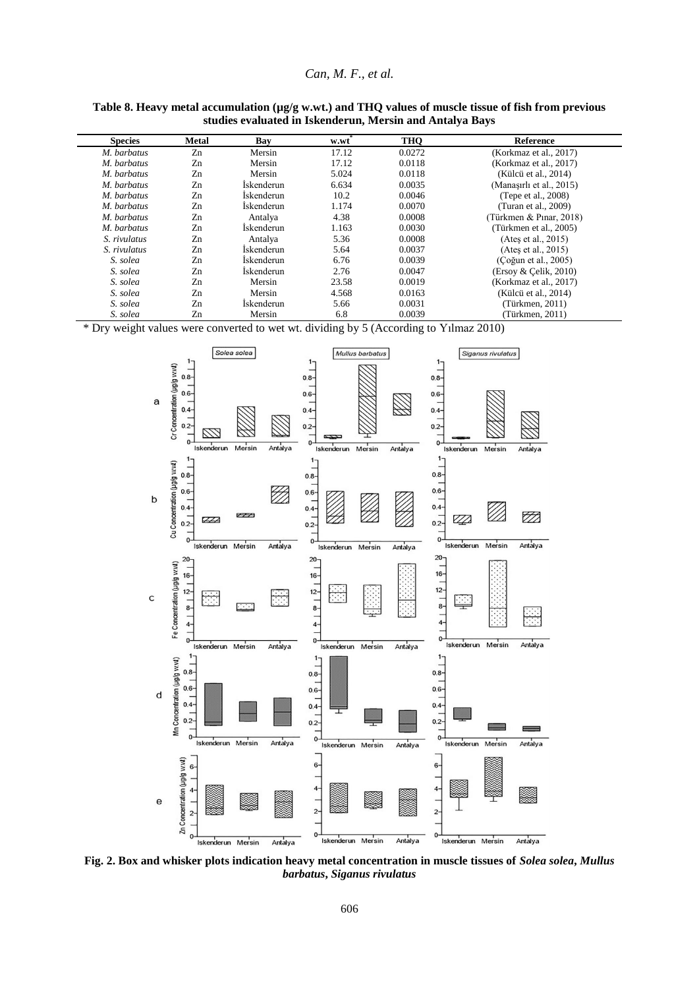#### *Can, M. F., et al.*

| <b>Species</b> | <b>Metal</b> | Bay               | w.wt  | <b>THO</b> | <b>Reference</b>            |
|----------------|--------------|-------------------|-------|------------|-----------------------------|
| M. barbatus    | Zn           | Mersin            | 17.12 | 0.0272     | (Korkmaz et al., 2017)      |
| M. barbatus    | Zn           | Mersin            | 17.12 | 0.0118     | (Korkmaz et al., 2017)      |
| M. barbatus    | Zn           | Mersin            | 5.024 | 0.0118     | (Külcü et al., 2014)        |
| M. barbatus    | Zn           | <i>İskenderun</i> | 6.634 | 0.0035     | (Manasırlı et al., 2015)    |
| M. barbatus    | Zn           | <i>İskenderun</i> | 10.2  | 0.0046     | (Tepe et al., 2008)         |
| M. barbatus    | Zn           | <i>İskenderun</i> | 1.174 | 0.0070     | (Turan et al., 2009)        |
| M. barbatus    | Zn           | Antalya           | 4.38  | 0.0008     | (Türkmen & Pınar, 2018)     |
| M. barbatus    | Zn           | Iskenderun        | 1.163 | 0.0030     | (Türkmen et al., 2005)      |
| S. rivulatus   | Zn           | Antalya           | 5.36  | 0.0008     | (Ates et al., $2015$ )      |
| S. rivulatus   | Zn           | <i>Iskenderun</i> | 5.64  | 0.0037     | (Ates et al., 2015)         |
| S. solea       | Zn           | <i>Iskenderun</i> | 6.76  | 0.0039     | (Coğun et al., 2005)        |
| S. solea       | Zn           | Iskenderun        | 2.76  | 0.0047     | $($ Ersoy & Çelik, 2010 $)$ |
| S. solea       | Zn           | Mersin            | 23.58 | 0.0019     | (Korkmaz et al., 2017)      |
| S. solea       | Zn           | Mersin            | 4.568 | 0.0163     | (Külcü et al., 2014)        |
| S. solea       | Zn           | <i>Iskenderun</i> | 5.66  | 0.0031     | (Türkmen, 2011)             |
| S. solea       | Zn           | Mersin            | 6.8   | 0.0039     | (Türkmen, 2011)             |

#### Table 8. Heavy metal accumulation (µg/g w.wt.) and THQ values of muscle tissue of fish from previous **studies evaluated in Iskenderun, Mersin and Antalya Bays**

\* Dry weight values were converted to wet wt. dividing by 5 (According to Yılmaz 2010)



**Fig. 2. Box and whisker plots indication heavy metal concentration in muscle tissues of** *Solea solea***,** *Mullus barbatus***,** *Siganus rivulatus*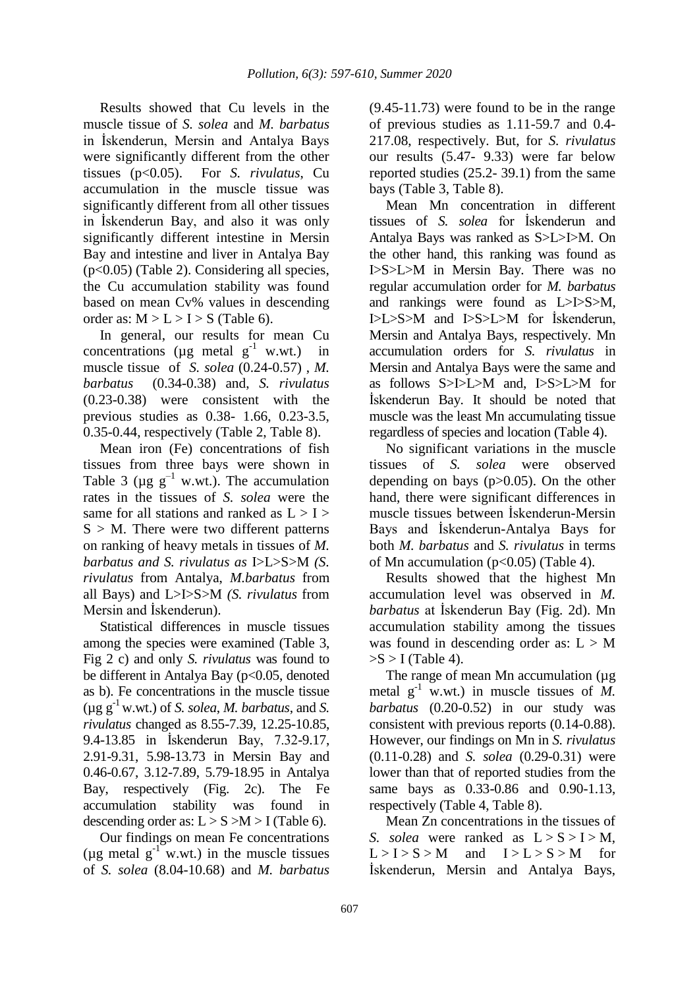Results showed that Cu levels in the muscle tissue of *S. solea* and *M. barbatus*  in İskenderun, Mersin and Antalya Bays were significantly different from the other tissues (p<0.05). For *S. rivulatus*, Cu accumulation in the muscle tissue was significantly different from all other tissues in İskenderun Bay, and also it was only significantly different intestine in Mersin Bay and intestine and liver in Antalya Bay (p<0.05) (Table 2). Considering all species, the Cu accumulation stability was found based on mean Cv% values in descending order as:  $M > L > I > S$  (Table 6).

In general, our results for mean Cu concentrations ( $\mu$ g metal g<sup>-1</sup> w.wt.) in muscle tissue of *S. solea* (0.24-0.57) , *M. barbatus* (0.34-0.38) and, *S. rivulatus* (0.23-0.38) were consistent with the previous studies as 0.38- 1.66, 0.23-3.5, 0.35-0.44, respectively (Table 2, Table 8).

Mean iron (Fe) concentrations of fish tissues from three bays were shown in Table 3 ( $\mu$ g g<sup>-1</sup> w.wt.). The accumulation rates in the tissues of *S. solea* were the same for all stations and ranked as  $L > I >$  $S > M$ . There were two different patterns on ranking of heavy metals in tissues of *M. barbatus and S. rivulatus as* I>L>S>M *(S. rivulatus* from Antalya, *M.barbatus* from all Bays) and L>I>S>M *(S. rivulatus* from Mersin and İskenderun).

Statistical differences in muscle tissues among the species were examined (Table 3, Fig 2 c) and only *S. rivulatus* was found to be different in Antalya Bay (p<0.05, denoted as b). Fe concentrations in the muscle tissue ( $\mu$ g g<sup>-1</sup> w.wt.) of *S. solea, M. barbatus*, and *S. rivulatus* changed as 8.55-7.39, 12.25-10.85, 9.4-13.85 in İskenderun Bay, 7.32-9.17, 2.91-9.31, 5.98-13.73 in Mersin Bay and 0.46-0.67, 3.12-7.89, 5.79-18.95 in Antalya Bay, respectively (Fig. 2c). The Fe accumulation stability was found in descending order as:  $L > S > M > I$  (Table 6).

Our findings on mean Fe concentrations ( $\mu$ g metal g<sup>-1</sup> w.wt.) in the muscle tissues of *S. solea* (8.04-10.68) and *M. barbatus* (9.45-11.73) were found to be in the range of previous studies as 1.11-59.7 and 0.4- 217.08, respectively. But, for *S. rivulatus* our results (5.47- 9.33) were far below reported studies (25.2- 39.1) from the same bays (Table 3, Table 8).

Mean Mn concentration in different tissues of *S. solea* for İskenderun and Antalya Bays was ranked as S>L>I>M. On the other hand, this ranking was found as I>S>L>M in Mersin Bay. There was no regular accumulation order for *M. barbatus* and rankings were found as L>I>S>M, I>L>S>M and I>S>L>M for İskenderun, Mersin and Antalya Bays, respectively. Mn accumulation orders for *S. rivulatus* in Mersin and Antalya Bays were the same and as follows S>I>L>M and, I>S>L>M for İskenderun Bay. It should be noted that muscle was the least Mn accumulating tissue regardless of species and location (Table 4).

No significant variations in the muscle tissues of *S. solea* were observed depending on bays (p>0.05). On the other hand, there were significant differences in muscle tissues between İskenderun-Mersin Bays and İskenderun-Antalya Bays for both *M. barbatus* and *S. rivulatus* in terms of Mn accumulation ( $p<0.05$ ) (Table 4).

Results showed that the highest Mn accumulation level was observed in *M. barbatus* at İskenderun Bay (Fig. 2d). Mn accumulation stability among the tissues was found in descending order as:  $L > M$  $>S$  > I (Table 4).

The range of mean Mn accumulation ( $\mu$ g) metal  $g^{-1}$  w.wt.) in muscle tissues of *M*. *barbatus* (0.20-0.52) in our study was consistent with previous reports (0.14-0.88). However, our findings on Mn in *S. rivulatus* (0.11-0.28) and *S. solea* (0.29-0.31) were lower than that of reported studies from the same bays as 0.33-0.86 and 0.90-1.13, respectively (Table 4, Table 8).

Mean Zn concentrations in the tissues of *S. solea* were ranked as  $L > S > I > M$ ,  $L > I > S > M$  and  $I > L > S > M$  for İskenderun, Mersin and Antalya Bays,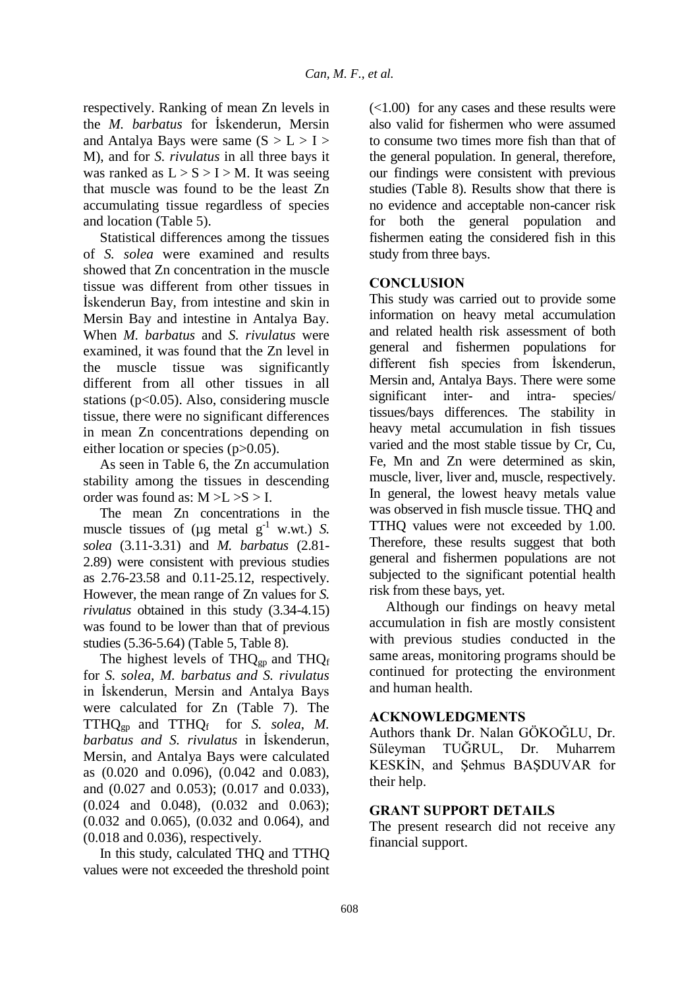respectively. Ranking of mean Zn levels in the *M. barbatus* for İskenderun, Mersin and Antalya Bays were same  $(S > L > I >$ M), and for *S. rivulatus* in all three bays it was ranked as  $L > S > I > M$ . It was seeing that muscle was found to be the least Zn accumulating tissue regardless of species and location (Table 5).

Statistical differences among the tissues of *S. solea* were examined and results showed that Zn concentration in the muscle tissue was different from other tissues in İskenderun Bay, from intestine and skin in Mersin Bay and intestine in Antalya Bay. When *M. barbatus* and *S. rivulatus* were examined, it was found that the Zn level in the muscle tissue was significantly different from all other tissues in all stations ( $p<0.05$ ). Also, considering muscle tissue, there were no significant differences in mean Zn concentrations depending on either location or species (p>0.05).

As seen in Table 6, the Zn accumulation stability among the tissues in descending order was found as:  $M > L > S > I$ .

The mean Zn concentrations in the muscle tissues of ( $\mu$ g metal g<sup>-1</sup> w.wt.) *S*. *solea* (3.11-3.31) and *M. barbatus* (2.81- 2.89) were consistent with previous studies as 2.76-23.58 and 0.11-25.12, respectively. However, the mean range of Zn values for *S. rivulatus* obtained in this study (3.34-4.15) was found to be lower than that of previous studies (5.36-5.64) (Table 5, Table 8).

The highest levels of  $THQ_{gp}$  and  $THQ_f$ for *S. solea*, *M. barbatus and S. rivulatus* in İskenderun, Mersin and Antalya Bays were calculated for Zn (Table 7). The TTHQgp and TTHQf for *S. solea*, *M. barbatus and S. rivulatus* in İskenderun, Mersin, and Antalya Bays were calculated as (0.020 and 0.096), (0.042 and 0.083), and (0.027 and 0.053); (0.017 and 0.033), (0.024 and 0.048), (0.032 and 0.063); (0.032 and 0.065), (0.032 and 0.064), and (0.018 and 0.036), respectively.

In this study, calculated THQ and TTHQ values were not exceeded the threshold point (<1.00) for any cases and these results were also valid for fishermen who were assumed to consume two times more fish than that of the general population. In general, therefore, our findings were consistent with previous studies (Table 8). Results show that there is no evidence and acceptable non-cancer risk for both the general population and fishermen eating the considered fish in this study from three bays.

## **CONCLUSION**

This study was carried out to provide some information on heavy metal accumulation and related health risk assessment of both general and fishermen populations for different fish species from İskenderun, Mersin and, Antalya Bays. There were some significant inter- and intra- species/ tissues/bays differences. The stability in heavy metal accumulation in fish tissues varied and the most stable tissue by Cr, Cu, Fe, Mn and Zn were determined as skin, muscle, liver, liver and, muscle, respectively. In general, the lowest heavy metals value was observed in fish muscle tissue. THQ and TTHQ values were not exceeded by 1.00. Therefore, these results suggest that both general and fishermen populations are not subjected to the significant potential health risk from these bays, yet.

Although our findings on heavy metal accumulation in fish are mostly consistent with previous studies conducted in the same areas, monitoring programs should be continued for protecting the environment and human health.

## **ACKNOWLEDGMENTS**

Authors thank Dr. Nalan GÖKOĞLU, Dr. Süleyman TUĞRUL, Dr. Muharrem KESKİN, and Sehmus BASDUVAR for their help.

## **GRANT SUPPORT DETAILS**

The present research did not receive any financial support.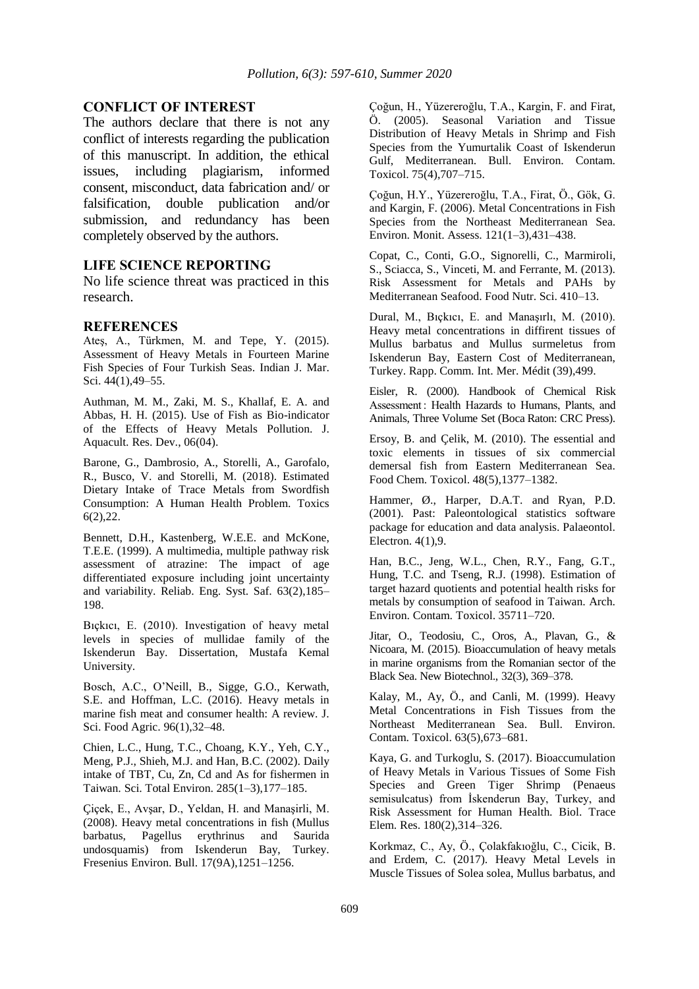#### **CONFLICT OF INTEREST**

The authors declare that there is not any conflict of interests regarding the publication of this manuscript. In addition, the ethical issues, including plagiarism, informed consent, misconduct, data fabrication and/ or falsification, double publication and/or submission, and redundancy has been completely observed by the authors.

## **LIFE SCIENCE REPORTING**

No life science threat was practiced in this research.

#### **REFERENCES**

Ateş, A., Türkmen, M. and Tepe, Y. (2015). Assessment of Heavy Metals in Fourteen Marine Fish Species of Four Turkish Seas. Indian J. Mar. Sci.  $44(1)$ ,  $49-55$ .

Authman, M. M., Zaki, M. S., Khallaf, E. A. and Abbas, H. H. (2015). Use of Fish as Bio-indicator of the Effects of Heavy Metals Pollution. J. Aquacult. Res. Dev., 06(04).

Barone, G., Dambrosio, A., Storelli, A., Garofalo, R., Busco, V. and Storelli, M. (2018). Estimated Dietary Intake of Trace Metals from Swordfish Consumption: A Human Health Problem. Toxics 6(2),22.

Bennett, D.H., Kastenberg, W.E.E. and McKone, T.E.E. (1999). A multimedia, multiple pathway risk assessment of atrazine: The impact of age differentiated exposure including joint uncertainty and variability. Reliab. Eng. Syst. Saf. 63(2),185– 198.

Bıçkıcı, E. (2010). Investigation of heavy metal levels in species of mullidae family of the Iskenderun Bay. Dissertation, Mustafa Kemal University.

Bosch, A.C., O'Neill, B., Sigge, G.O., Kerwath, S.E. and Hoffman, L.C. (2016). Heavy metals in marine fish meat and consumer health: A review. J. Sci. Food Agric. 96(1),32–48.

Chien, L.C., Hung, T.C., Choang, K.Y., Yeh, C.Y., Meng, P.J., Shieh, M.J. and Han, B.C. (2002). Daily intake of TBT, Cu, Zn, Cd and As for fishermen in Taiwan. Sci. Total Environ. 285(1–3),177–185.

Çiçek, E., Avşar, D., Yeldan, H. and Manaşirli, M. (2008). Heavy metal concentrations in fish (Mullus erythrinus and Saurida undosquamis) from Iskenderun Bay, Turkey. Fresenius Environ. Bull. 17(9A),1251–1256.

Çoğun, H., Yüzereroğlu, T.A., Kargin, F. and Firat, Ö. (2005). Seasonal Variation and Tissue Distribution of Heavy Metals in Shrimp and Fish Species from the Yumurtalik Coast of Iskenderun Gulf, Mediterranean. Bull. Environ. Contam. Toxicol. 75(4),707–715.

Çoğun, H.Y., Yüzereroğlu, T.A., Firat, Ö., Gök, G. and Kargin, F. (2006). Metal Concentrations in Fish Species from the Northeast Mediterranean Sea. Environ. Monit. Assess. 121(1–3),431–438.

Copat, C., Conti, G.O., Signorelli, C., Marmiroli, S., Sciacca, S., Vinceti, M. and Ferrante, M. (2013). Risk Assessment for Metals and PAHs by Mediterranean Seafood. Food Nutr. Sci. 410–13.

Dural, M., Bıçkıcı, E. and Manaşırlı, M. (2010). Heavy metal concentrations in diffirent tissues of Mullus barbatus and Mullus surmeletus from Iskenderun Bay, Eastern Cost of Mediterranean, Turkey. Rapp. Comm. Int. Mer. Médit (39),499.

Eisler, R. (2000). Handbook of Chemical Risk Assessment : Health Hazards to Humans, Plants, and Animals, Three Volume Set (Boca Raton: CRC Press).

Ersoy, B. and Çelik, M. (2010). The essential and toxic elements in tissues of six commercial demersal fish from Eastern Mediterranean Sea. Food Chem. Toxicol. 48(5),1377–1382.

Hammer, Ø., Harper, D.A.T. and Ryan, P.D. (2001). Past: Paleontological statistics software package for education and data analysis. Palaeontol. Electron. 4(1),9.

Han, B.C., Jeng, W.L., Chen, R.Y., Fang, G.T., Hung, T.C. and Tseng, R.J. (1998). Estimation of target hazard quotients and potential health risks for metals by consumption of seafood in Taiwan. Arch. Environ. Contam. Toxicol. 35711–720.

Jitar, O., Teodosiu, C., Oros, A., Plavan, G., & Nicoara, M. (2015). Bioaccumulation of heavy metals in marine organisms from the Romanian sector of the Black Sea. New Biotechnol., 32(3), 369–378.

Kalay, M., Ay, Ö., and Canli, M. (1999). Heavy Metal Concentrations in Fish Tissues from the Northeast Mediterranean Sea. Bull. Environ. Contam. Toxicol. 63(5),673–681.

Kaya, G. and Turkoglu, S. (2017). Bioaccumulation of Heavy Metals in Various Tissues of Some Fish Species and Green Tiger Shrimp (Penaeus semisulcatus) from İskenderun Bay, Turkey, and Risk Assessment for Human Health. Biol. Trace Elem. Res. 180(2),314–326.

Korkmaz, C., Ay, Ö., Çolakfakıoğlu, C., Cicik, B. and Erdem, C. (2017). Heavy Metal Levels in Muscle Tissues of Solea solea, Mullus barbatus, and